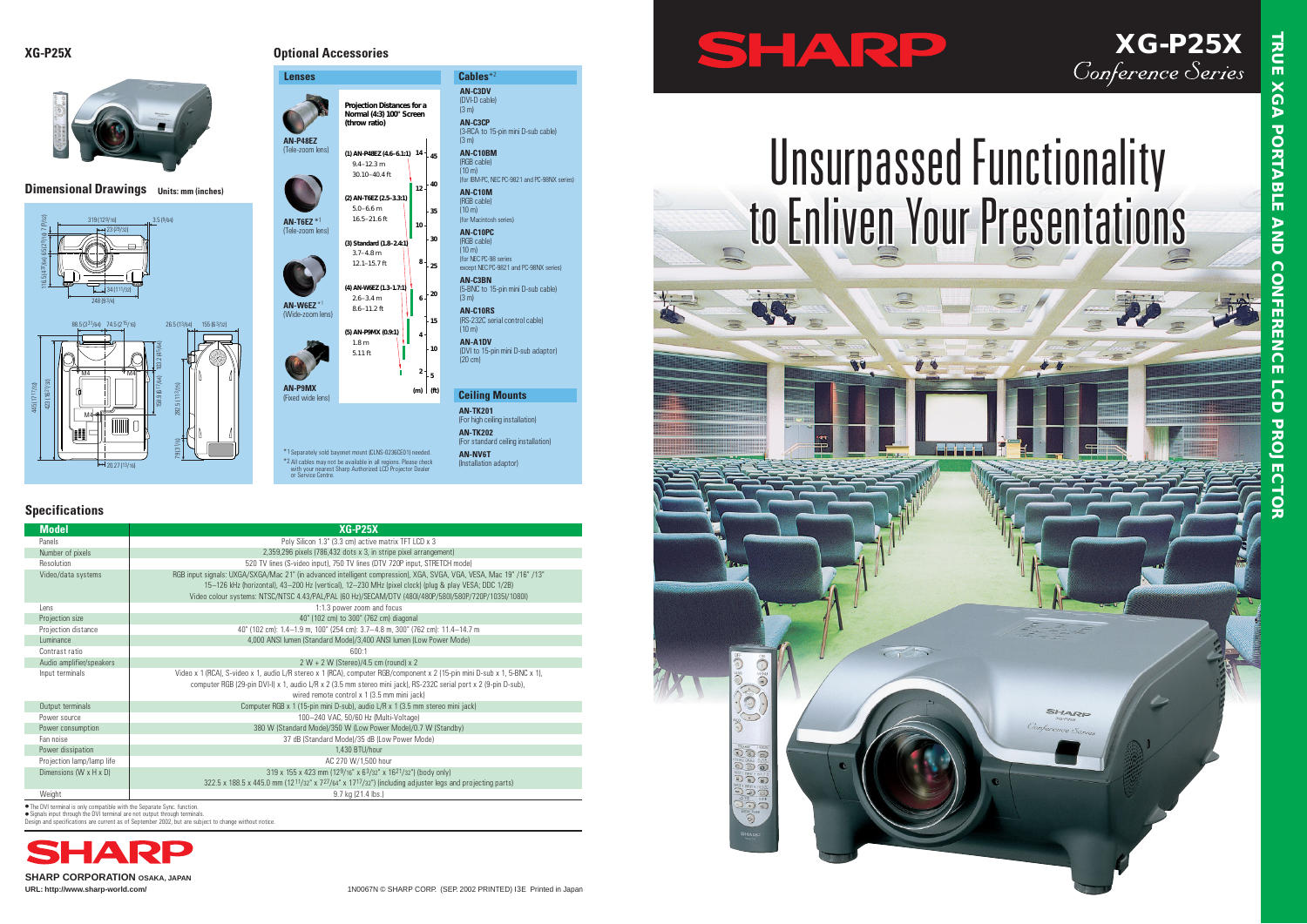**SHARP CORPORATION OSAKA, JAPAN**

# **Unsurpassed Functionality to Enliven Your Presentations**

SHARP



# **XG-P25X**<br>Conference Series

● Signals input through the DVI terminal are not output through terminals. Design and specifications are current as of September 2002, but are subject to change without notice.



\*1 Separately sold bayon \*2 All cables may not be available in all regions. Please check with your nearest Sharp Authorized LCD Projector Dealer or Service Centre. (3 m) **AN-C10BM** (RGB cable)  $(10 \text{ m})$ 

| <b>Specifications</b>                |                                                                                                                                                                                                                                                                                                                                      |  |  |
|--------------------------------------|--------------------------------------------------------------------------------------------------------------------------------------------------------------------------------------------------------------------------------------------------------------------------------------------------------------------------------------|--|--|
| <b>Model</b>                         | $XG-P25X$                                                                                                                                                                                                                                                                                                                            |  |  |
| Panels                               | Poly Silicon 1.3" (3.3 cm) active matrix TFT LCD x 3                                                                                                                                                                                                                                                                                 |  |  |
| Number of pixels                     | 2,359,296 pixels (786,432 dots x 3, in stripe pixel arrangement)                                                                                                                                                                                                                                                                     |  |  |
| Resolution                           | 520 TV lines (S-video input), 750 TV lines (DTV 720P input, STRETCH mode)                                                                                                                                                                                                                                                            |  |  |
| Video/data systems                   | RGB input signals: UXGA/SXGA/Mac 21" (in advanced intelligent compression), XGA, SVGA, VGA, VESA, Mac 19" /16" /13"<br>15-126 kHz (horizontal), 43-200 Hz (vertical), 12-230 MHz (pixel clock) (plug & play VESA; DDC 1/2B)<br>Video colour systems: NTSC/NTSC 4.43/PAL/PAL (60 Hz)/SECAM/DTV (480I/480P/580I/580P/720P/1035I/1080I) |  |  |
| Lens                                 | 1:1.3 power zoom and focus                                                                                                                                                                                                                                                                                                           |  |  |
| Projection size                      | 40" (102 cm) to 300" (762 cm) diagonal                                                                                                                                                                                                                                                                                               |  |  |
| Projection distance                  | 40" (102 cm): 1.4-1.9 m, 100" (254 cm): 3.7-4.8 m, 300" (762 cm): 11.4-14.7 m                                                                                                                                                                                                                                                        |  |  |
| Luminance                            | 4,000 ANSI lumen (Standard Mode)/3,400 ANSI lumen (Low Power Mode)                                                                                                                                                                                                                                                                   |  |  |
| Contrast ratio                       | 600:1                                                                                                                                                                                                                                                                                                                                |  |  |
| Audio amplifier/speakers             | $2 W + 2 W$ (Stereo)/4.5 cm (round) x 2                                                                                                                                                                                                                                                                                              |  |  |
| Input terminals                      | Video x 1 (RCA), S-video x 1, audio L/R stereo x 1 (RCA), computer RGB/component x 2 (15-pin mini D-sub x 1, 5-BNC x 1),<br>computer RGB (29-pin DVI-I) x 1, audio L/R x 2 (3.5 mm stereo mini jack), RS-232C serial port x 2 (9-pin D-sub),<br>wired remote control x 1 (3.5 mm mini jack)                                          |  |  |
| Output terminals                     | Computer RGB x 1 (15-pin mini D-sub), audio L/R x 1 (3.5 mm stereo mini jack)                                                                                                                                                                                                                                                        |  |  |
| Power source                         | 100-240 VAC, 50/60 Hz (Multi-Voltage)                                                                                                                                                                                                                                                                                                |  |  |
| Power consumption                    | 380 W (Standard Mode)/350 W (Low Power Mode)/0.7 W (Standby)                                                                                                                                                                                                                                                                         |  |  |
| Fan noise                            | 37 dB (Standard Mode)/35 dB (Low Power Mode)                                                                                                                                                                                                                                                                                         |  |  |
| Power dissipation                    | 1.430 BTU/hour                                                                                                                                                                                                                                                                                                                       |  |  |
| Projection lamp/lamp life            | AC 270 W/1.500 hour                                                                                                                                                                                                                                                                                                                  |  |  |
| Dimensions (W $\times$ H $\times$ D) | 319 x 155 x 423 mm (129/16" x 63/32" x 1621/32") (body only)<br>322.5 x 188.5 x 445.0 mm (12 <sup>11</sup> /32" x 7 <sup>27</sup> /64" x 17 <sup>17</sup> /32") (including adjuster legs and projecting parts)                                                                                                                       |  |  |
| Weight                               | 9.7 kg (21.4 lbs.)                                                                                                                                                                                                                                                                                                                   |  |  |

compatible with the Separate Sync. function



### **Dimensional Drawings Units: mm (inches)**

# **XG-P25X Optional Accessories**

**Lenses** Cables<sup>\*2</sup>



**AN-C3DV** (DVI-D cable)  $(3<sub>m</sub>)$ **AN-C3CP**

(3-RCA to 15-pin mini D-sub cable)

(for IBM-PC, NEC PC-9821 and PC-98NX series)

**AN-C10M** (RGB cable)  $(10 \text{ m})$ (for Macintosh series) **AN-C10PC** (RGB cable)  $(10 \text{ m})$ (for NEC PC-98 series

except NEC PC-9821 and PC-98NX series)



**AN-C3BN**

 $(3<sub>m</sub>)$ 

(5-BNC to 15-pin mini D-sub cable)

| $8.6 - 11.2$ ft<br>(5) AN-P9MX (0.9:1)<br>1.8 <sub>m</sub><br>$5.11$ ft     | 15<br>4<br>10<br>$\overline{2}$<br>5<br>(f <sup>t</sup> )<br>(m) | AN-C10RS<br>(RS-232C serial control cable)<br>$(10 \text{ m})$<br><b>AN-A1DV</b><br>(DVI to 15-pin mini D-sub adaptor)<br>$(20 \text{ cm})$<br><b>Ceiling Mounts</b> |
|-----------------------------------------------------------------------------|------------------------------------------------------------------|----------------------------------------------------------------------------------------------------------------------------------------------------------------------|
|                                                                             |                                                                  | <b>AN-TK201</b><br>(For high ceiling installation)                                                                                                                   |
|                                                                             |                                                                  | <b>AN-TK202</b><br>(For standard ceiling installation)                                                                                                               |
| net mount (CLNS-0236CE01) needed.<br>available in all regions. Please check |                                                                  | AN-NV6T<br>(Installation adantor)                                                                                                                                    |

**6**

**8**

**10**

**12 40**

**35**

**45**

**30**

**25**

**20**